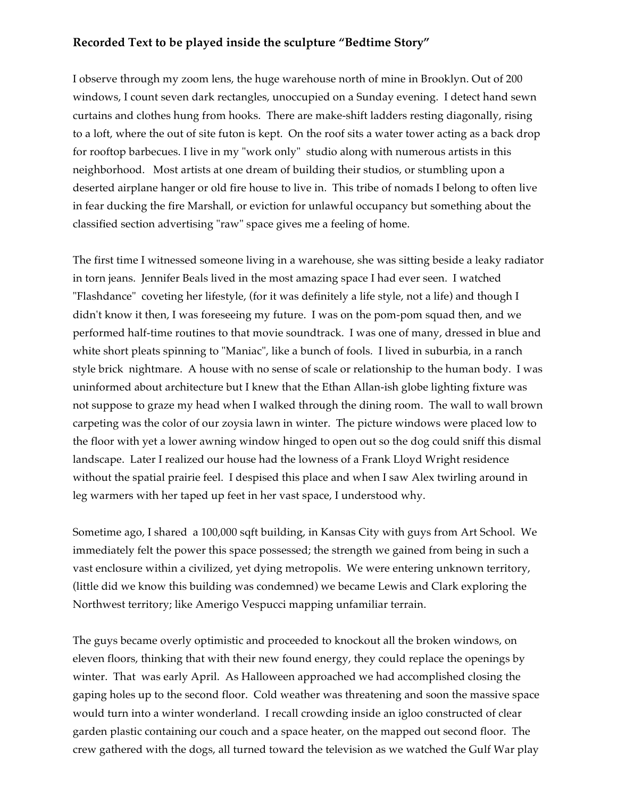## **Recorded Text to be played inside the sculpture "Bedtime Story"**

I observe through my zoom lens, the huge warehouse north of mine in Brooklyn. Out of 200 windows, I count seven dark rectangles, unoccupied on a Sunday evening. I detect hand sewn curtains and clothes hung from hooks. There are make-shift ladders resting diagonally, rising to a loft, where the out of site futon is kept. On the roof sits a water tower acting as a back drop for rooftop barbecues. I live in my "work only" studio along with numerous artists in this neighborhood. Most artists at one dream of building their studios, or stumbling upon a deserted airplane hanger or old fire house to live in. This tribe of nomads I belong to often live in fear ducking the fire Marshall, or eviction for unlawful occupancy but something about the classified section advertising "raw" space gives me a feeling of home.

The first time I witnessed someone living in a warehouse, she was sitting beside a leaky radiator in torn jeans. Jennifer Beals lived in the most amazing space I had ever seen. I watched "Flashdance" coveting her lifestyle, (for it was definitely a life style, not a life) and though I didn't know it then, I was foreseeing my future. I was on the pom-pom squad then, and we performed half-time routines to that movie soundtrack. I was one of many, dressed in blue and white short pleats spinning to "Maniac", like a bunch of fools. I lived in suburbia, in a ranch style brick nightmare. A house with no sense of scale or relationship to the human body. I was uninformed about architecture but I knew that the Ethan Allan-ish globe lighting fixture was not suppose to graze my head when I walked through the dining room. The wall to wall brown carpeting was the color of our zoysia lawn in winter. The picture windows were placed low to the floor with yet a lower awning window hinged to open out so the dog could sniff this dismal landscape. Later I realized our house had the lowness of a Frank Lloyd Wright residence without the spatial prairie feel. I despised this place and when I saw Alex twirling around in leg warmers with her taped up feet in her vast space, I understood why.

Sometime ago, I shared a 100,000 sqft building, in Kansas City with guys from Art School. We immediately felt the power this space possessed; the strength we gained from being in such a vast enclosure within a civilized, yet dying metropolis. We were entering unknown territory, (little did we know this building was condemned) we became Lewis and Clark exploring the Northwest territory; like Amerigo Vespucci mapping unfamiliar terrain.

The guys became overly optimistic and proceeded to knockout all the broken windows, on eleven floors, thinking that with their new found energy, they could replace the openings by winter. That was early April. As Halloween approached we had accomplished closing the gaping holes up to the second floor. Cold weather was threatening and soon the massive space would turn into a winter wonderland. I recall crowding inside an igloo constructed of clear garden plastic containing our couch and a space heater, on the mapped out second floor. The crew gathered with the dogs, all turned toward the television as we watched the Gulf War play